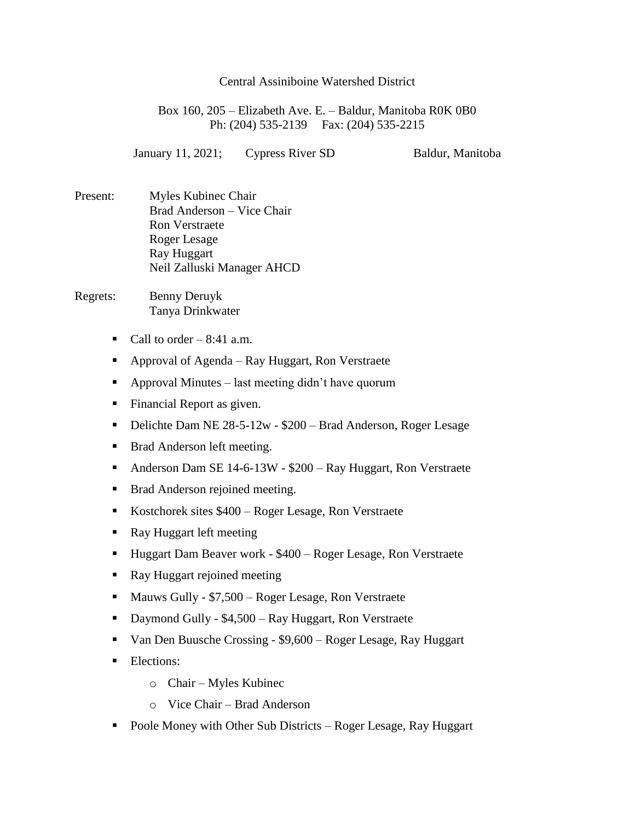Box 160, 205 – Elizabeth Ave. E. – Baldur, Manitoba R0K 0B0 Ph: (204) 535-2139 Fax: (204) 535-2215

January 11, 2021; Cypress River SD Baldur, Manitoba

- Present: Myles Kubinec Chair Brad Anderson – Vice Chair Ron Verstraete Roger Lesage Ray Huggart Neil Zalluski Manager AHCD
- Regrets: Benny Deruyk Tanya Drinkwater
	- Call to order  $-8:41$  a.m.
	- Approval of Agenda Ray Huggart, Ron Verstraete
	- Approval Minutes last meeting didn't have quorum
	- **Financial Report as given.**
	- Delichte Dam NE 28-5-12w \$200 Brad Anderson, Roger Lesage
	- **Brad Anderson left meeting.**
	- Anderson Dam SE 14-6-13W \$200 Ray Huggart, Ron Verstraete
	- **Brad Anderson rejoined meeting.**
	- Kostchorek sites \$400 Roger Lesage, Ron Verstraete
	- Ray Huggart left meeting
	- Huggart Dam Beaver work \$400 Roger Lesage, Ron Verstraete
	- Ray Huggart rejoined meeting
	- Mauws Gully \$7,500 Roger Lesage, Ron Verstraete
	- Daymond Gully \$4,500 Ray Huggart, Ron Verstraete
	- Van Den Buusche Crossing \$9,600 Roger Lesage, Ray Huggart
	- **Elections:** 
		- o Chair Myles Kubinec
		- o Vice Chair Brad Anderson
	- Poole Money with Other Sub Districts Roger Lesage, Ray Huggart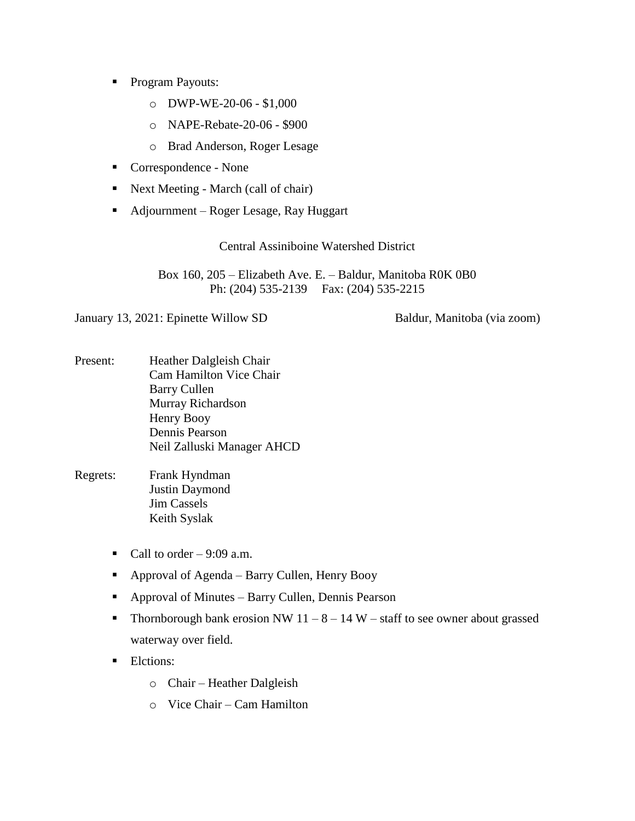- **Program Payouts:** 
	- o DWP-WE-20-06 \$1,000
	- o NAPE-Rebate-20-06 \$900
	- o Brad Anderson, Roger Lesage
- Correspondence None
- Next Meeting March (call of chair)
- Adjournment Roger Lesage, Ray Huggart

Box 160, 205 – Elizabeth Ave. E. – Baldur, Manitoba R0K 0B0 Ph: (204) 535-2139 Fax: (204) 535-2215

January 13, 2021: Epinette Willow SD Baldur, Manitoba (via zoom)

- Present: Heather Dalgleish Chair Cam Hamilton Vice Chair Barry Cullen Murray Richardson Henry Booy Dennis Pearson Neil Zalluski Manager AHCD
- Regrets: Frank Hyndman Justin Daymond Jim Cassels Keith Syslak
	- Call to order  $-9:09$  a.m.
	- Approval of Agenda Barry Cullen, Henry Booy
	- Approval of Minutes Barry Cullen, Dennis Pearson
	- Thornborough bank erosion NW  $11 8 14$  W staff to see owner about grassed waterway over field.
	- **Elctions:** 
		- o Chair Heather Dalgleish
		- o Vice Chair Cam Hamilton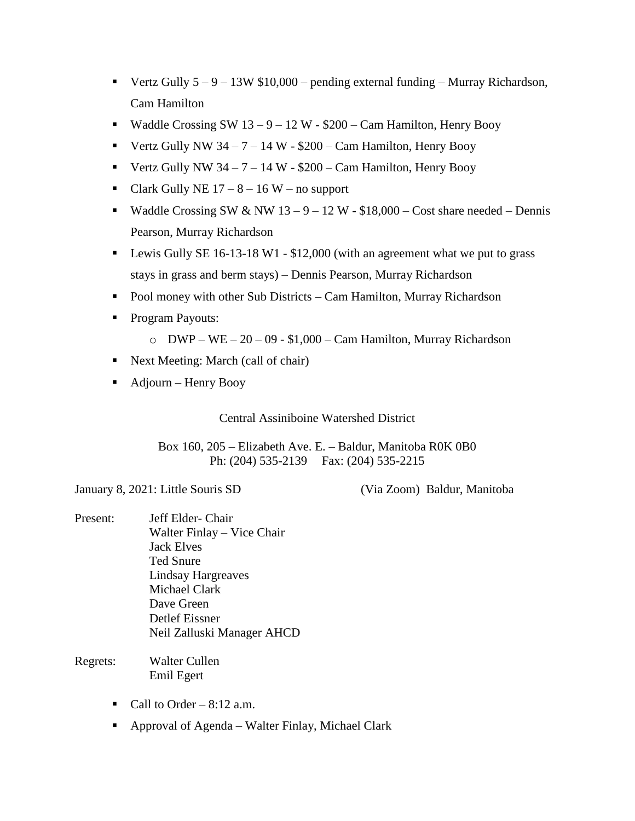- Vertz Gully  $5 9 13W $10,000$  pending external funding Murray Richardson, Cam Hamilton
- Waddle Crossing SW  $13 9 12$  W \$200 Cam Hamilton, Henry Booy
- Vertz Gully NW  $34 7 14$  W \$200 Cam Hamilton, Henry Booy
- Vertz Gully NW  $34 7 14$  W \$200 Cam Hamilton, Henry Booy
- Clark Gully NE  $17 8 16$  W no support
- Waddle Crossing SW & NW  $13 9 12$  W \$18,000 Cost share needed Dennis Pearson, Murray Richardson
- **Lewis Gully SE 16-13-18 W1 \$12,000 (with an agreement what we put to grass** stays in grass and berm stays) – Dennis Pearson, Murray Richardson
- Pool money with other Sub Districts Cam Hamilton, Murray Richardson
- Program Payouts:
	- $\circ$  DWP WE 20 09 \$1,000 Cam Hamilton, Murray Richardson
- Next Meeting: March (call of chair)
- $\blacksquare$  Adjourn Henry Booy

Box 160, 205 – Elizabeth Ave. E. – Baldur, Manitoba R0K 0B0 Ph: (204) 535-2139 Fax: (204) 535-2215

January 8, 2021: Little Souris SD (Via Zoom) Baldur, Manitoba

- Present: Jeff Elder- Chair Walter Finlay – Vice Chair Jack Elves Ted Snure Lindsay Hargreaves Michael Clark Dave Green Detlef Eissner Neil Zalluski Manager AHCD
- Regrets: Walter Cullen Emil Egert
	- Call to Order  $8:12$  a.m.
	- Approval of Agenda Walter Finlay, Michael Clark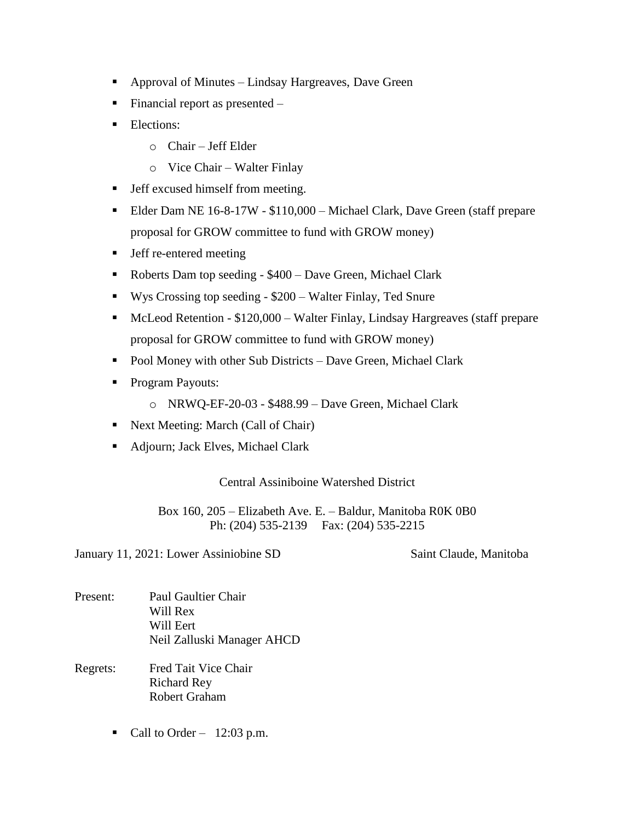- Approval of Minutes Lindsay Hargreaves, Dave Green
- Financial report as presented  $-$
- **Elections:** 
	- o Chair Jeff Elder
	- o Vice Chair Walter Finlay
- **Jeff excused himself from meeting.**
- Elder Dam NE 16-8-17W \$110,000 Michael Clark, Dave Green (staff prepare proposal for GROW committee to fund with GROW money)
- **I** Jeff re-entered meeting
- Roberts Dam top seeding \$400 Dave Green, Michael Clark
- Wys Crossing top seeding \$200 Walter Finlay, Ted Snure
- McLeod Retention \$120,000 Walter Finlay, Lindsay Hargreaves (staff prepare proposal for GROW committee to fund with GROW money)
- Pool Money with other Sub Districts Dave Green, Michael Clark
- **Program Payouts:** 
	- o NRWQ-EF-20-03 \$488.99 Dave Green, Michael Clark
- Next Meeting: March (Call of Chair)
- Adjourn; Jack Elves, Michael Clark

Box 160, 205 – Elizabeth Ave. E. – Baldur, Manitoba R0K 0B0 Ph: (204) 535-2139 Fax: (204) 535-2215

January 11, 2021: Lower Assiniobine SD Saint Claude, Manitoba

- Present: Paul Gaultier Chair Will Rex Will Eert Neil Zalluski Manager AHCD
- Regrets: Fred Tait Vice Chair Richard Rey Robert Graham
	- Call to Order  $12:03$  p.m.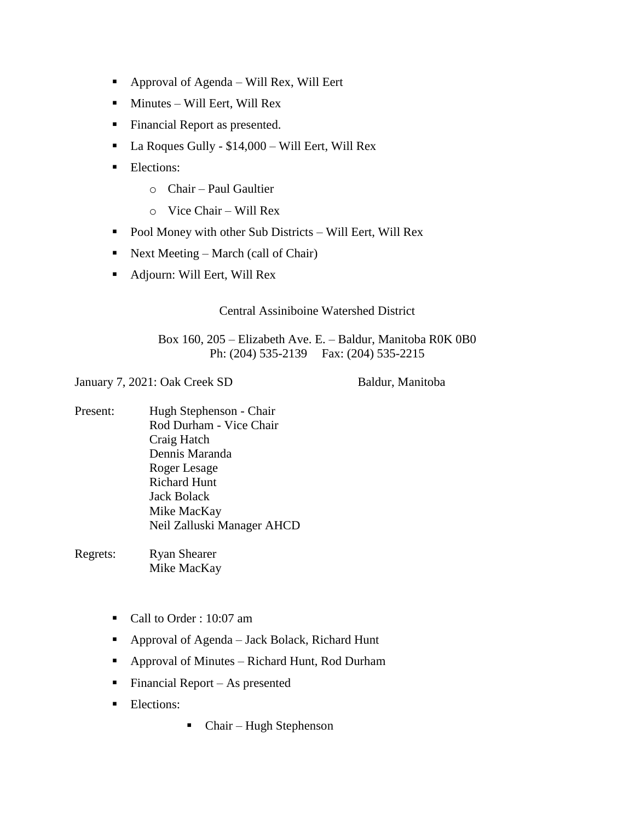- Approval of Agenda Will Rex, Will Eert
- $\blacksquare$  Minutes Will Eert, Will Rex
- **Financial Report as presented.**
- La Roques Gully \$14,000 Will Eert, Will Rex
- **Elections:** 
	- o Chair Paul Gaultier
	- o Vice Chair Will Rex
- Pool Money with other Sub Districts Will Eert, Will Rex
- Next Meeting March (call of Chair)
- Adjourn: Will Eert, Will Rex

## Box 160, 205 – Elizabeth Ave. E. – Baldur, Manitoba R0K 0B0 Ph: (204) 535-2139 Fax: (204) 535-2215

January 7, 2021: Oak Creek SD Baldur, Manitoba

Present: Hugh Stephenson - Chair Rod Durham - Vice Chair Craig Hatch Dennis Maranda Roger Lesage Richard Hunt Jack Bolack Mike MacKay Neil Zalluski Manager AHCD

Regrets: Ryan Shearer Mike MacKay

- Call to Order : 10:07 am
- Approval of Agenda Jack Bolack, Richard Hunt
- Approval of Minutes Richard Hunt, Rod Durham
- Financial Report As presented
- **Elections:**
- Chair Hugh Stephenson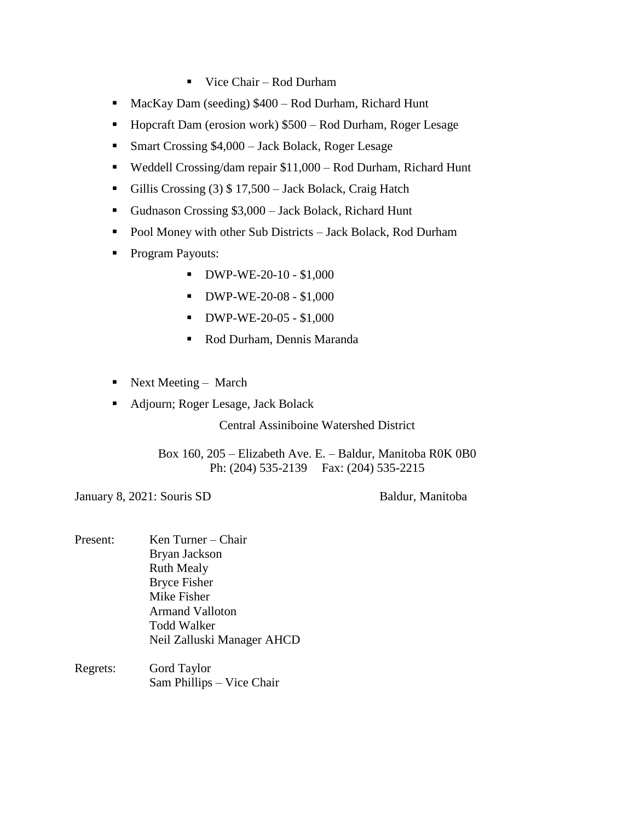- Vice Chair Rod Durham
- MacKay Dam (seeding) \$400 Rod Durham, Richard Hunt
- Hopcraft Dam (erosion work) \$500 Rod Durham, Roger Lesage
- Smart Crossing \$4,000 Jack Bolack, Roger Lesage
- Weddell Crossing/dam repair \$11,000 Rod Durham, Richard Hunt
- Gillis Crossing (3) \$17,500 Jack Bolack, Craig Hatch
- Gudnason Crossing \$3,000 Jack Bolack, Richard Hunt
- Pool Money with other Sub Districts Jack Bolack, Rod Durham
- **Program Payouts:** 
	- $\bullet$  DWP-WE-20-10 \$1,000
	- $\blacksquare$  DWP-WE-20-08 \$1,000
	- $\blacksquare$  DWP-WE-20-05 \$1,000
	- Rod Durham, Dennis Maranda
- Next Meeting March
- Adjourn; Roger Lesage, Jack Bolack

Box 160, 205 – Elizabeth Ave. E. – Baldur, Manitoba R0K 0B0 Ph: (204) 535-2139 Fax: (204) 535-2215

January 8, 2021: Souris SD Baldur, Manitoba

- Present: Ken Turner Chair Bryan Jackson Ruth Mealy Bryce Fisher Mike Fisher Armand Valloton Todd Walker Neil Zalluski Manager AHCD
- Regrets: Gord Taylor Sam Phillips – Vice Chair